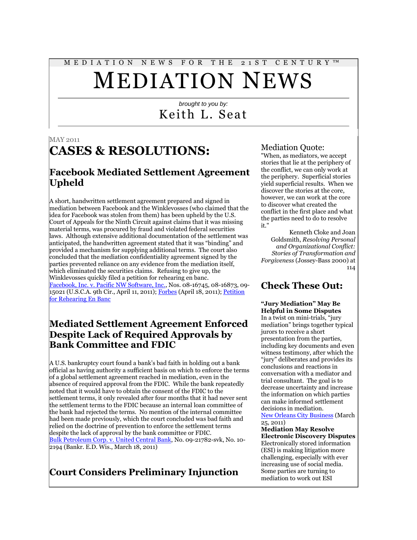# M E D I A T I O N N E W S F O R T H E 2 1 S T C E N T U R Y ™ MEDIATION NEWS

## *brought to you by:* Keith L. Seat

#### MAY 2011

# **CASES & RESOLUTIONS:**

### **Facebook Mediated Settlement Agreement Upheld**

A short, handwritten settlement agreement prepared and signed in mediation between Facebook and the Winklevosses (who claimed that the idea for Facebook was stolen from them) has been upheld by the U.S. Court of Appeals for the Ninth Circuit against claims that it was missing material terms, was procured by fraud and violated federal securities laws. Although extensive additional documentation of the settlement was anticipated, the handwritten agreement stated that it was "binding" and provided a mechanism for supplying additional terms. The court also concluded that the mediation confidentiality agreement signed by the parties prevented reliance on any evidence from the mediation itself, which eliminated the securities claims. Refusing to give up, the Winklevosses quickly filed a petition for rehearing en banc. [Facebook, Inc. v. Pacific NW Software, Inc.,](http://scholar.google.com/scholar_case?case=4588446584794438439&hl=en&lr=lang_en&as_sdt=2,9&as_vis=1&oi=scholaralrt&ct=alrt&cd=5) Nos. 08-16745, 08-16873, 09- 15021 (U.S.C.A. 9th Cir., April 11, 2011)[; Forbes](http://blogs.forbes.com/shenegotiates/2011/04/18/winklevoss-lawyers-contend-9th-circuit-decision-confers-license-to-commit-securities-fraud/) (April 18, 2011); Petition [for Rehearing En Banc](http://www.foxnews.com/projects/pdf/Winklevoss_Facebook_petition.pdf)

### **Mediated Settlement Agreement Enforced Despite Lack of Required Approvals by Bank Committee and FDIC**

A U.S. bankruptcy court found a bank's bad faith in holding out a bank official as having authority a sufficient basis on which to enforce the terms of a global settlement agreement reached in mediation, even in the absence of required approval from the FDIC. While the bank repeatedly noted that it would have to obtain the consent of the FDIC to the settlement terms, it only revealed after four months that it had never sent the settlement terms to the FDIC because an internal loan committee of the bank had rejected the terms. No mention of the internal committee had been made previously, which the court concluded was bad faith and relied on the doctrine of prevention to enforce the settlement terms despite the lack of approval by the bank committee or FDIC. [Bulk Petroleum Corp. v. United Central Bank,](http://scholar.google.com/scholar_case?case=8591517221952899681&hl=en&lr=lang_en&as_sdt=2,9&as_vis=1&oi=scholaralrt&ct=alrt&cd=6) No. 09-21782-svk, No. 10- 2194 (Bankr. E.D. Wis., March 18, 2011)

## **Court Considers Preliminary Injunction**

#### Mediation Quote:

"When, as mediators, we accept stories that lie at the periphery of the conflict, we can only work at the periphery. Superficial stories yield superficial results. When we discover the stories at the core, however, we can work at the core to discover what created the conflict in the first place and what the parties need to do to resolve it."

Kenneth Cloke and Joan Goldsmith, *Resolving Personal and Organizational Conflict: Stories of Transformation and Forgiveness* (Jossey-Bass 2000) at 114

### **Check These Out:**

**"Jury Mediation" May Be Helpful in Some Disputes** In a twist on mini-trials, "jury mediation" brings together typical jurors to receive a short presentation from the parties, including key documents and even witness testimony, after which the "jury" deliberates and provides its conclusions and reactions in conversation with a mediator and trial consultant. The goal is to decrease uncertainty and increase the information on which parties can make informed settlement decisions in mediation.

[New Orleans City Business](http://neworleanscitybusiness.com/blog/2011/03/25/commentary-jury-mediation-a-new-tool-to-resolve-cases/) (March 25, 2011)

**Mediation May Resolve Electronic Discovery Disputes** Electronically stored information (ESI) is making litigation more challenging, especially with ever increasing use of social media. Some parties are turning to mediation to work out ESI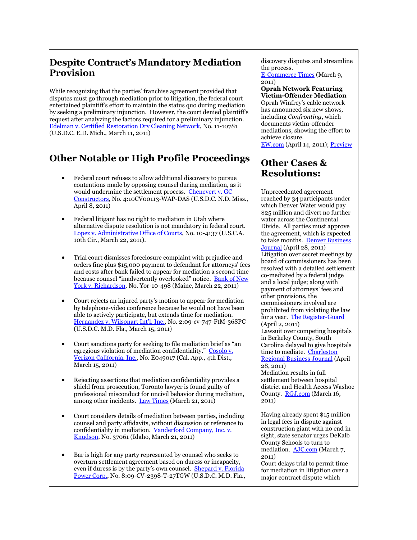### **Despite Contract's Mandatory Mediation Provision**

While recognizing that the parties' franchise agreement provided that disputes must go through mediation prior to litigation, the federal court entertained plaintiff's effort to maintain the status quo during mediation by seeking a preliminary injunction. However, the court denied plaintiff's request after analyzing the factors required for a preliminary injunction. [Edelman v. Certified Restoration Dry Cleaning Network,](http://scholar.google.com/scholar_case?case=3524075140553082439&hl=en&lr=lang_en&as_sdt=2,9&as_vis=1&oi=scholaralrt&ct=alrt&cd=3) No. 11-10781 (U.S.D.C. E.D. Mich., March 11, 2011)

# **Other Notable or High Profile Proceedings**

- Federal court refuses to allow additional discovery to pursue contentions made by opposing counsel during mediation, as it would undermine the settlement process. [Chenevert v. GC](http://scholar.google.com/scholar_case?case=10137690723164309790&hl=en&lr=lang_en&as_sdt=2,9&as_vis=1&oi=scholaralrt&ct=alrt&cd=3)  [Constructors,](http://scholar.google.com/scholar_case?case=10137690723164309790&hl=en&lr=lang_en&as_sdt=2,9&as_vis=1&oi=scholaralrt&ct=alrt&cd=3) No. 4:10CV00113-WAP-DAS (U.S.D.C. N.D. Miss., April 8, 2011)
- Federal litigant has no right to mediation in Utah where alternative dispute resolution is not mandatory in federal court. [Lopez v. Administrative Office of Courts,](http://www.leagle.com/xmlResult.aspx?xmldoc=In%20FCO%2020110322074.xml&docbase=CSLWAR3-2007-CURR) No. 10-4137 (U.S.C.A. 10th Cir., March 22, 2011).
- Trial court dismisses foreclosure complaint with prejudice and orders fine plus \$15,000 payment to defendant for attorneys' fees and costs after bank failed to appear for mediation a second time because counsel "inadvertently overlooked" notice. [Bank of New](http://scholar.google.com/scholar_case?case=18095744051984983264&hl=en&lr=lang_en&as_sdt=2,9&as_vis=1&oi=scholaralrt&ct=alrt&cd=0)  [York v. Richardson,](http://scholar.google.com/scholar_case?case=18095744051984983264&hl=en&lr=lang_en&as_sdt=2,9&as_vis=1&oi=scholaralrt&ct=alrt&cd=0) No. Yor-10-498 (Maine, March 22, 2011)
- Court rejects an injured party's motion to appear for mediation by telephone-video conference because he would not have been able to actively participate, but extends time for mediation. [Hernandez v. Wilsonart Int'l, Inc.](http://scholar.google.com/scholar_case?case=4940846231148729536&hl=en&lr=lang_en&as_sdt=2,9&as_vis=1&oi=scholaralrt&ct=alrt&cd=0), No. 2:09-cv-747-FtM-36SPC (U.S.D.C. M.D. Fla., March 15, 2011)
- Court sanctions party for seeking to file mediation brief as "an egregious violation of mediation confidentiality." [Cosolo v.](http://scholar.google.com/scholar_case?case=3966026578124924971&hl=en&lr=lang_en&as_sdt=2,9&as_vis=1&oi=scholaralrt&ct=alrt&cd=2)  [Verizon California, Inc.,](http://scholar.google.com/scholar_case?case=3966026578124924971&hl=en&lr=lang_en&as_sdt=2,9&as_vis=1&oi=scholaralrt&ct=alrt&cd=2) No. E049017 (Cal. App., 4th Dist., March 15, 2011)
- Rejecting assertions that mediation confidentiality provides a shield from prosecution, Toronto lawyer is found guilty of professional misconduct for uncivil behavior during mediation, among other incidents. [Law Times](http://www.lawtimesnews.com/201103218335/Inside-Story/Monday-March-21-2011) (March 21, 2011)
- Court considers details of mediation between parties, including counsel and party affidavits, without discussion or reference to confidentiality in mediation. [Vanderford Company, Inc. v.](http://scholar.google.com/scholar_case?case=21672360084132693&hl=en&lr=lang_en&as_sdt=2,9&as_vis=1&oi=scholaralrt&ct=alrt&cd=4)  [Knudson,](http://scholar.google.com/scholar_case?case=21672360084132693&hl=en&lr=lang_en&as_sdt=2,9&as_vis=1&oi=scholaralrt&ct=alrt&cd=4) No. 37061 (Idaho, March 21, 2011)
- Bar is high for any party represented by counsel who seeks to overturn settlement agreement based on duress or incapacity, even if duress is by the party's own counsel. [Shepard v. Florida](http://scholar.google.com/scholar_case?case=10179897414913763266&hl=en&lr=lang_en&as_sdt=2,9&as_vis=1&oi=scholaralrt&ct=alrt&cd=1)  [Power Corp.,](http://scholar.google.com/scholar_case?case=10179897414913763266&hl=en&lr=lang_en&as_sdt=2,9&as_vis=1&oi=scholaralrt&ct=alrt&cd=1) No. 8:09-CV-2398-T-27TGW (U.S.D.C. M.D. Fla.,

discovery disputes and streamline the process.

[E-Commerce Times](http://www.ecommercetimes.com/story/New-Rules-Social-Media-and-Electronic-Evidence-72026.html?wlc=1300037681) (March 9, 2011)

**Oprah Network Featuring Victim-Offender Mediation**  Oprah Winfrey's cable network has announced six new shows, including *Confronting*, which documents victim-offender mediations, showing the effort to achieve closure.

[EW.com](http://insidetv.ew.com/2011/04/14/oprahs-own-announces-six-new-shows/) (April 14, 2011)[; Preview](http://www.oprah.com/own-confronting/Confronting-My-Sons-Killer-Sneak-Peek-Exclusive) 

### **Other Cases & Resolutions:**

Unprecedented agreement reached by 34 participants under which Denver Water would pay \$25 million and divert no further water across the Continental Divide. All parties must approve the agreement, which is expected to take months. Denver Business [Journal](http://assets.bizjournals.com/denver/news/2011/04/28/unprecedented-water-deal-announced.html) (April 28, 2011) Litigation over secret meetings by board of commissioners has been resolved with a detailed settlement co-mediated by a federal judge and a local judge; along with payment of attorneys' fees and other provisions, the commissioners involved are prohibited from violating the law for a year. [The Register-Guard](http://special.registerguard.com/web/updates/26074285-41/county-settlement-handy-hogan-sorenson.html.csp) (April 2, 2011) Lawsuit over competing hospitals in Berkeley County, South Carolina delayed to give hospitals time to mediate. Charleston [Regional Business Journal](http://www.charlestonbusiness.com/news/39362-roper-trident-to-try-mediation) (April 28, 2011) Mediation results in full settlement between hospital district and Health Access Washoe County. **[RGJ.com](http://www.rgj.com/article/20110316/DAYTON01/103160312/1042/DAYTON)** (March 16, 2011)

Having already spent \$15 million in legal fees in dispute against construction giant with no end in sight, state senator urges DeKalb County Schools to turn to mediation. [AJC.com](http://www.ajc.com/news/dekalb/dekalbs-lawsuit-tab-15-863304.html) (March 7, 2011)

Court delays trial to permit time for mediation in litigation over a major contract dispute which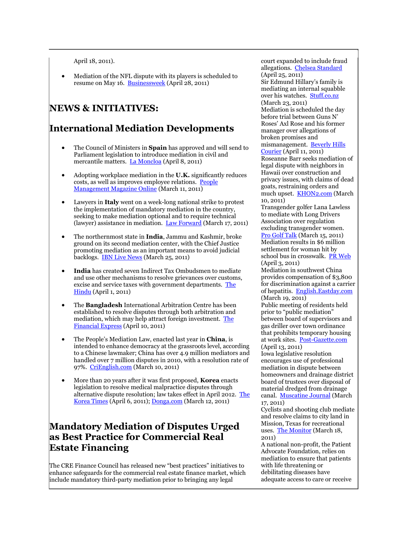April 18, 2011).

 Mediation of the NFL dispute with its players is scheduled to resume on May 16. [Businessweek](http://www.businessweek.com/news/2011-04-28/nfl-asks-appeals-court-to-delay-lockout-ban-pending-appeal.html) (April 28, 2011)

### **NEWS & INITIATIVES:**

### **International Mediation Developments**

- The Council of Ministers in **Spain** has approved and will send to Parliament legislation to introduce mediation in civil and mercantile matters. [La Moncloa](http://www.la-moncloa.es/IDIOMAS/9/Gobierno/News/2011/08042011_CouncilMinisters.htm) (April 8, 2011)
- Adopting workplace mediation in the **U.K.** significantly reduces costs, as well as improves employee relations. [People](http://www.peoplemanagement.co.uk/pm/articles/2011/03/business-case-for-mediation-is-robust-say-employers.htm)  [Management Magazine Online](http://www.peoplemanagement.co.uk/pm/articles/2011/03/business-case-for-mediation-is-robust-say-employers.htm) (March 11, 2011)
- Lawyers in **Italy** went on a week-long national strike to protest the implementation of mandatory mediation in the country, seeking to make mediation optional and to require technical (lawyer) assistance in mediation. [Law Forward](http://lawforward.legalzoom.com/competition/italian-lawyers-strike-over-new-mandatory-mediation-american-legal-pundits-pile-on-consumerism-debated/) (March 17, 2011)
- The northernmost state in **India**, Jammu and Kashmir, broke ground on its second mediation center, with the Chief Justice promoting mediation as an important means to avoid judicial backlogs. [IBN Live News](http://ibnlive.in.com/generalnewsfeed/news/jk-gets-second-mediation-centre/623687.html) (March 25, 2011)
- **India** has created seven Indirect Tax Ombudsmen to mediate and use other mechanisms to resolve grievances over customs, excise and service taxes with government departments. [The](http://www.thehindu.com/news/national/article1588834.ece)  [Hindu](http://www.thehindu.com/news/national/article1588834.ece) (April 1, 2011)
- The **Bangladesh** International Arbitration Centre has been established to resolve disputes through both arbitration and mediation, which may help attract foreign investment. [The](http://www.thefinancialexpress-bd.com/more.php?news_id=132118&date=2011-04-10)  [Financial Express](http://www.thefinancialexpress-bd.com/more.php?news_id=132118&date=2011-04-10) (April 10, 2011)
- The People's Mediation Law, enacted last year in **China**, is intended to enhance democracy at the grassroots level, according to a Chinese lawmaker; China has over 4.9 million mediators and handled over 7 million disputes in 2010, with a resolution rate of 97%. [CriEnglish.com](http://english.cri.cn/6909/2011/03/10/2741s625358.htm) (March 10, 2011)
- More than 20 years after it was first proposed, **Korea** enacts legislation to resolve medical malpractice disputes through alternative dispute resolution; law takes effect in April 2012. [The](http://www.koreatimes.co.kr/www/news/opinon/2011/04/137_84613.html)  [Korea Times](http://www.koreatimes.co.kr/www/news/opinon/2011/04/137_84613.html) (April 6, 2011); [Donga.com](http://english.donga.com/srv/service.php3?biid=2011031278718) (March 12, 2011)

### **Mandatory Mediation of Disputes Urged as Best Practice for Commercial Real Estate Financing**

The CRE Finance Council has released new "best practices" initiatives to enhance safeguards for the commercial real estate finance market, which include mandatory third-party mediation prior to bringing any legal

court expanded to include fraud allegations. [Chelsea Standard](http://www.heritage.com/articles/2011/04/25/chelsea_standard/news/doc4db5a9ea72c92971933806.txt?viewmode=fullstory) (April 25, 2011) Sir Edmund Hillary's family is mediating an internal squabble over his watches. [Stuff.co.nz](http://www.stuff.co.nz/national/4797949/Hillary-family-row-heads-to-mediation) (March 23, 2011) Mediation is scheduled the day before trial between Guns N' Roses' Axl Rose and his former manager over allegations of broken promises and mismanagement. [Beverly Hills](http://www.bhcourier.com/article/Local/Local/Settlement_Efforts_Between_Axl_Rose_And_Former_Manager_Hit_Sour_Note/75607)  [Courier](http://www.bhcourier.com/article/Local/Local/Settlement_Efforts_Between_Axl_Rose_And_Former_Manager_Hit_Sour_Note/75607) (April 11, 2011) Roseanne Barr seeks mediation of legal dispute with neighbors in Hawaii over construction and privacy issues, with claims of dead goats, restraining orders and much upset. [KHON2.com](http://www.khon2.com/news/local/story/Roseanne-Barrs-legal-battle-with-Big-Island/VWeD3tUpDEirsvUJ3xJkKQ.cspx) (March 10, 2011) Transgender golfer Lana Lawless to mediate with Long Drivers Association over regulation excluding transgender women. [Pro Golf Talk](http://progolftalk.nbcsports.com/2011/03/15/transgender-golfer-lana-lawless-enters-mediation-with-long-drivers-association/) (March 15, 2011) Mediation results in \$6 million settlement for woman hit by school bus in crosswalk. [PR Web](http://www.prweb.com/releases/njbusaccident/lawyers/prweb5215604.htm) (April 3, 2011) Mediation in southwest China provides compensation of \$3,800 for discrimination against a carrier of hepatitis. [English.Eastday.com](http://english.eastday.com/e/110319/u1a5794716.html) (March 19, 2011) Public meeting of residents held prior to "public mediation" between board of supervisors and gas driller over town ordinance that prohibits temporary housing at work sites. [Post-Gazette.com](http://www.post-gazette.com/pg/11103/1138950-58.stm) (April 13, 2011) Iowa legislative resolution encourages use of professional mediation in dispute between homeowners and drainage district board of trustees over disposal of material dredged from drainage canal. [Muscatine Journal](http://www.muscatinejournal.com/news/local/article_70d5083a-5112-11e0-86c3-001cc4c03286.html) (March 17, 2011) Cyclists and shooting club mediate and resolve claims to city land in Mission, Texas for recreational uses. [The Monitor](http://www.themonitor.com/articles/shooters-48187-cyclists-dispute.html) (March 18, 2011) A national non-profit, the Patient Advocate Foundation, relies on

mediation to ensure that patients with life threatening or debilitating diseases have adequate access to care or receive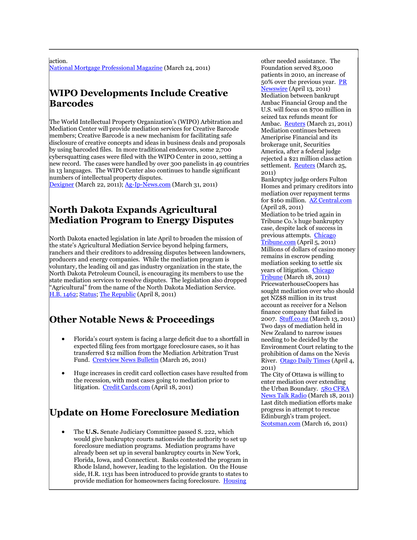#### action.

[National Mortgage Professional Magazine](http://nationalmortgageprofessional.com/news24246/cre-finance-council-unveils-market-standards-cmbs-20) (March 24, 2011)

### **WIPO Developments Include Creative Barcodes**

The World Intellectual Property Organization's (WIPO) Arbitration and Mediation Center will provide mediation services for Creative Barcode members; Creative Barcode is a new mechanism for facilitating safe disclosure of creative concepts and ideas in business deals and proposals by using barcoded files. In more traditional endeavors, some 2,700 cybersquatting cases were filed with the WIPO Center in 2010, setting a new record. The cases were handled by over 300 panelists in 49 countries in 13 languages. The WIPO Center also continues to handle significant numbers of intellectual property disputes.

[Dexigner](http://www.dexigner.com/news/22607) (March 22, 2011)[; Ag-Ip-News.com](http://www.ag-ip-news.com/GetArticle.asp?Art_ID=8897&lang=en) (March 31, 2011)

### **North Dakota Expands Agricultural Mediation Program to Energy Disputes**

North Dakota enacted legislation in late April to broaden the mission of the state's Agricultural Mediation Service beyond helping farmers, ranchers and their creditors to addressing disputes between landowners, producers and energy companies. While the mediation program is voluntary, the leading oil and gas industry organization in the state, the North Dakota Petroleum Council, is encouraging its members to use the state mediation services to resolve disputes. The legislation also dropped "Agricultural" from the name of the North Dakota Mediation Service. [H.B. 1462;](http://www.legis.nd.gov/assembly/62-2011/documents/11-0560-04000.pdf) [Status;](http://www.statescape.com/Billsearch/GetRawDetails.asp?rec=1478072) [The Republic](http://www.therepublic.com/view/story/f6b55c37177944c6a8695cdcaf21258a/ND-XGR--Oil-Land-Damage/) (April 8, 2011)

### **Other Notable News & Proceedings**

- Florida's court system is facing a large deficit due to a shortfall in expected filing fees from mortgage foreclosure cases, so it has transferred \$12 million from the Mediation Arbitration Trust Fund. [Crestview News Bulletin](http://www.crestviewbulletin.com/news/services-13691-staff-affect.html) (March 26, 2011)
- Huge increases in credit card collection cases have resulted from the recession, with most cases going to mediation prior to litigation. [Credit Cards.com](http://www.creditcards.com/credit-card-news/florida-nevada-california-more-credit-card-debt-lawsuits-court-1282.php) (April 18, 2011)

### **Update on Home Foreclosure Mediation**

 The **U.S.** Senate Judiciary Committee passed S. 222, which would give bankruptcy courts nationwide the authority to set up foreclosure mediation programs. Mediation programs have already been set up in several bankruptcy courts in New York, Florida, Iowa, and Connecticut. Banks contested the program in Rhode Island, however, leading to the legislation. On the House side, H.R. 1131 has been introduced to provide grants to states to provide mediation for homeowners facing foreclosure. [Housing](http://www.housingwire.com/2011/03/31/senate-committee-clears-bankruptcy-courts-to-set-up-foreclosure-mediation) 

other needed assistance. The Foundation served 83,000 patients in 2010, an increase of 50% over the previous year. PR [Newswire](http://www.prnewswire.com/news-releases/2010-patient-data-analysis-report-finds-major-increase-in-requests-for-assistance-among-medicare-beneficiaries-119773884.html) (April 13, 2011) Mediation between bankrupt Ambac Financial Group and the U.S. will focus on \$700 million in seized tax refunds meant for Ambac. [Reuters](http://www.reuters.com/article/2011/03/21/ambac-idUSL3E7EL23R20110321) (March 21, 2011) Mediation continues between Ameriprise Financial and its brokerage unit, Securities America, after a federal judge rejected a \$21 million class action settlement. [Reuters](http://www.reuters.com/article/2011/03/26/ameriprise-idUSN258941420110326) (March 25, 2011)

Bankruptcy judge orders Fulton Homes and primary creditors into mediation over repayment terms for \$160 million. [AZ Central.com](http://www.azcentral.com/business/realestate/articles/2011/04/27/20110427fulton-homes-mediation-ordered.html) (April 28, 2011) Mediation to be tried again in Tribune Co.'s huge bankruptcy case, despite lack of success in previous attempts. [Chicago](http://articles.chicagotribune.com/2011-04-05/business/ct-biz-0406-tribune-20110405_1_aurelius-capital-management-junior-creditors-bankruptcy-judge-kevin-gross)  [Tribune.com](http://articles.chicagotribune.com/2011-04-05/business/ct-biz-0406-tribune-20110405_1_aurelius-capital-management-junior-creditors-bankruptcy-judge-kevin-gross) (April 5, 2011) Millions of dollars of casino money remains in escrow pending mediation seeking to settle six years of litigation. [Chicago](http://www.chicagotribune.com/news/local/sns-ap-in--casino-money,0,3388570.story)  [Tribune](http://www.chicagotribune.com/news/local/sns-ap-in--casino-money,0,3388570.story) (March 18, 2011) PricewaterhouseCoopers has sought mediation over who should get NZ\$8 million in its trust account as receiver for a Nelson finance company that failed in 2007. [Stuff.co.nz](http://www.stuff.co.nz/sunday-star-times/business/4758601/Accounting-giant-keen-to-avoid-court-hearing) (March 13, 2011) Two days of mediation held in New Zealand to narrow issues needing to be decided by the Environment Court relating to the prohibition of dams on the Nevis River. [Otago Daily Times](http://www.odt.co.nz/regions/central-otago/154555/mediation-over-river-issues) (April 4, 2011)

The City of Ottawa is willing to enter mediation over extending the Urban Boundary. [580 CFRA](http://www.cfra.com/?cat=1&nid=78519)  [News Talk Radio](http://www.cfra.com/?cat=1&nid=78519) (March 18, 2011) Last ditch mediation efforts make progress in attempt to rescue Edinburgh's tram project. [Scotsman.com](http://www.scotsman.com/news/Tram-scheme39s-mediators-prepared-for.6734919.jp) (March 16, 2011)